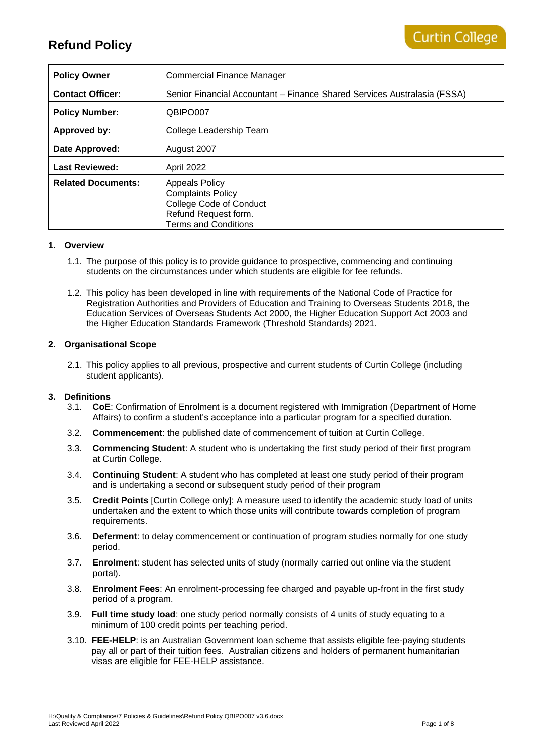| <b>Policy Owner</b>       | Commercial Finance Manager                                                                                                                 |
|---------------------------|--------------------------------------------------------------------------------------------------------------------------------------------|
| <b>Contact Officer:</b>   | Senior Financial Accountant – Finance Shared Services Australasia (FSSA)                                                                   |
| <b>Policy Number:</b>     | QBIPO007                                                                                                                                   |
| Approved by:              | College Leadership Team                                                                                                                    |
| Date Approved:            | August 2007                                                                                                                                |
| <b>Last Reviewed:</b>     | April 2022                                                                                                                                 |
| <b>Related Documents:</b> | <b>Appeals Policy</b><br><b>Complaints Policy</b><br><b>College Code of Conduct</b><br>Refund Request form.<br><b>Terms and Conditions</b> |

#### **1. Overview**

- 1.1. The purpose of this policy is to provide guidance to prospective, commencing and continuing students on the circumstances under which students are eligible for fee refunds.
- 1.2. This policy has been developed in line with requirements of the National Code of Practice for Registration Authorities and Providers of Education and Training to Overseas Students 2018, the Education Services of Overseas Students Act 2000, the Higher Education Support Act 2003 and the Higher Education Standards Framework (Threshold Standards) 2021.

#### **2. Organisational Scope**

2.1. This policy applies to all previous, prospective and current students of Curtin College (including student applicants).

#### **3. Definitions**

- 3.1. **CoE**: Confirmation of Enrolment is a document registered with Immigration (Department of Home Affairs) to confirm a student's acceptance into a particular program for a specified duration.
- 3.2. **Commencement**: the published date of commencement of tuition at Curtin College.
- 3.3. **Commencing Student**: A student who is undertaking the first study period of their first program at Curtin College.
- 3.4. **Continuing Student**: A student who has completed at least one study period of their program and is undertaking a second or subsequent study period of their program
- 3.5. **Credit Points** [Curtin College only]: A measure used to identify the academic study load of units undertaken and the extent to which those units will contribute towards completion of program requirements.
- 3.6. **Deferment**: to delay commencement or continuation of program studies normally for one study period.
- 3.7. **Enrolment**: student has selected units of study (normally carried out online via the student portal).
- 3.8. **Enrolment Fees**: An enrolment-processing fee charged and payable up-front in the first study period of a program.
- 3.9. **Full time study load**: one study period normally consists of 4 units of study equating to a minimum of 100 credit points per teaching period.
- 3.10. **FEE-HELP**: is an Australian Government loan scheme that assists eligible fee-paying students pay all or part of their tuition fees. Australian citizens and holders of permanent humanitarian visas are eligible for FEE-HELP assistance.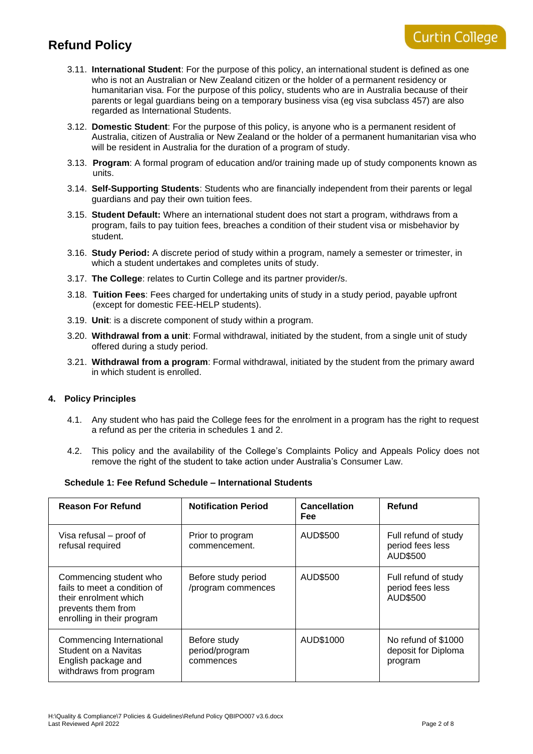- 3.11. **International Student**: For the purpose of this policy, an international student is defined as one who is not an Australian or New Zealand citizen or the holder of a permanent residency or humanitarian visa. For the purpose of this policy, students who are in Australia because of their parents or legal guardians being on a temporary business visa (eg visa subclass 457) are also regarded as International Students.
- 3.12. **Domestic Student**: For the purpose of this policy, is anyone who is a permanent resident of Australia, citizen of Australia or New Zealand or the holder of a permanent humanitarian visa who will be resident in Australia for the duration of a program of study.
- 3.13. **Program**: A formal program of education and/or training made up of study components known as units.
- 3.14. **Self-Supporting Students**: Students who are financially independent from their parents or legal guardians and pay their own tuition fees.
- 3.15. **Student Default:** Where an international student does not start a program, withdraws from a program, fails to pay tuition fees, breaches a condition of their student visa or misbehavior by student.
- 3.16. **Study Period:** A discrete period of study within a program, namely a semester or trimester, in which a student undertakes and completes units of study.
- 3.17. **The College**: relates to Curtin College and its partner provider/s.
- 3.18. **Tuition Fees**: Fees charged for undertaking units of study in a study period, payable upfront (except for domestic FEE-HELP students).
- 3.19. **Unit**: is a discrete component of study within a program.
- 3.20. **Withdrawal from a unit**: Formal withdrawal, initiated by the student, from a single unit of study offered during a study period.
- 3.21. **Withdrawal from a program**: Formal withdrawal, initiated by the student from the primary award in which student is enrolled.

#### **4. Policy Principles**

- 4.1. Any student who has paid the College fees for the enrolment in a program has the right to request a refund as per the criteria in schedules 1 and 2.
- 4.2. This policy and the availability of the College's Complaints Policy and Appeals Policy does not remove the right of the student to take action under Australia's Consumer Law.

#### **Schedule 1: Fee Refund Schedule – International Students**

| <b>Reason For Refund</b>                                                                                                            | <b>Notification Period</b>                  | <b>Cancellation</b><br><b>Fee</b> | Refund                                                |
|-------------------------------------------------------------------------------------------------------------------------------------|---------------------------------------------|-----------------------------------|-------------------------------------------------------|
| Visa refusal - proof of<br>refusal required                                                                                         | Prior to program<br>commencement.           | AUD\$500                          | Full refund of study<br>period fees less<br>AUD\$500  |
| Commencing student who<br>fails to meet a condition of<br>their enrolment which<br>prevents them from<br>enrolling in their program | Before study period<br>/program commences   | AUD\$500                          | Full refund of study<br>period fees less<br>AUD\$500  |
| Commencing International<br>Student on a Navitas<br>English package and<br>withdraws from program                                   | Before study<br>period/program<br>commences | AUD\$1000                         | No refund of \$1000<br>deposit for Diploma<br>program |

**Curtin College**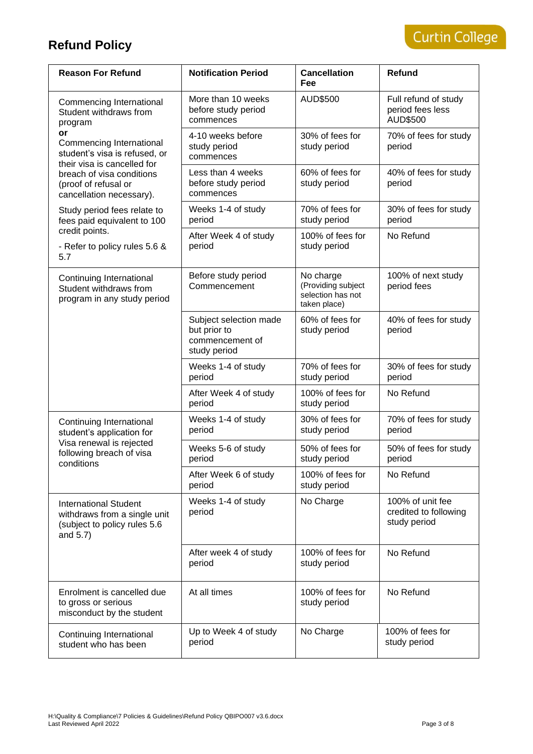| <b>Reason For Refund</b>                                                                                                                                                        | <b>Notification Period</b>                                                | <b>Cancellation</b><br><b>Fee</b>                                    | <b>Refund</b>                                             |
|---------------------------------------------------------------------------------------------------------------------------------------------------------------------------------|---------------------------------------------------------------------------|----------------------------------------------------------------------|-----------------------------------------------------------|
| Commencing International<br>Student withdraws from<br>program                                                                                                                   | More than 10 weeks<br>before study period<br>commences                    | AUD\$500                                                             | Full refund of study<br>period fees less<br>AUD\$500      |
| or<br>Commencing International<br>student's visa is refused, or<br>their visa is cancelled for<br>breach of visa conditions<br>(proof of refusal or<br>cancellation necessary). | 4-10 weeks before<br>study period<br>commences                            | 30% of fees for<br>study period                                      | 70% of fees for study<br>period                           |
|                                                                                                                                                                                 | Less than 4 weeks<br>before study period<br>commences                     | 60% of fees for<br>study period                                      | 40% of fees for study<br>period                           |
| Study period fees relate to<br>fees paid equivalent to 100                                                                                                                      | Weeks 1-4 of study<br>period                                              | 70% of fees for<br>study period                                      | 30% of fees for study<br>period                           |
| credit points.<br>- Refer to policy rules 5.6 &<br>5.7                                                                                                                          | After Week 4 of study<br>period                                           | 100% of fees for<br>study period                                     | No Refund                                                 |
| Continuing International<br>Student withdraws from<br>program in any study period                                                                                               | Before study period<br>Commencement                                       | No charge<br>(Providing subject<br>selection has not<br>taken place) | 100% of next study<br>period fees                         |
|                                                                                                                                                                                 | Subject selection made<br>but prior to<br>commencement of<br>study period | 60% of fees for<br>study period                                      | 40% of fees for study<br>period                           |
|                                                                                                                                                                                 | Weeks 1-4 of study<br>period                                              | 70% of fees for<br>study period                                      | 30% of fees for study<br>period                           |
|                                                                                                                                                                                 | After Week 4 of study<br>period                                           | 100% of fees for<br>study period                                     | No Refund                                                 |
| Continuing International<br>student's application for                                                                                                                           | Weeks 1-4 of study<br>period                                              | 30% of fees for<br>study period                                      | 70% of fees for study<br>period                           |
| Visa renewal is rejected<br>following breach of visa<br>conditions                                                                                                              | Weeks 5-6 of study<br>period                                              | 50% of fees for<br>study period                                      | 50% of fees for study<br>period                           |
|                                                                                                                                                                                 | After Week 6 of study<br>period                                           | 100% of fees for<br>study period                                     | No Refund                                                 |
| <b>International Student</b><br>withdraws from a single unit<br>(subject to policy rules 5.6<br>and 5.7)                                                                        | Weeks 1-4 of study<br>period                                              | No Charge                                                            | 100% of unit fee<br>credited to following<br>study period |
|                                                                                                                                                                                 | After week 4 of study<br>period                                           | 100% of fees for<br>study period                                     | No Refund                                                 |
| Enrolment is cancelled due<br>to gross or serious<br>misconduct by the student                                                                                                  | At all times                                                              | 100% of fees for<br>study period                                     | No Refund                                                 |
| Continuing International<br>student who has been                                                                                                                                | Up to Week 4 of study<br>period                                           | No Charge                                                            | 100% of fees for<br>study period                          |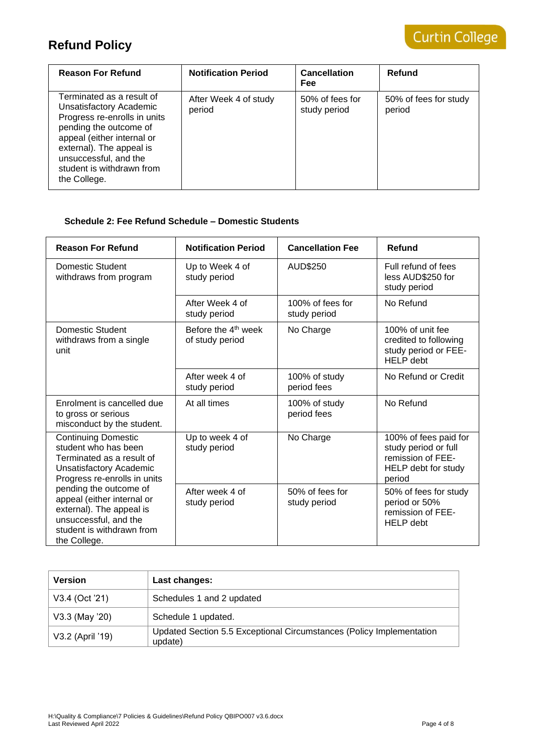| <b>Reason For Refund</b>                                                                                                                                                                                                                       | <b>Notification Period</b>      | <b>Cancellation</b><br>Fee      | Refund                          |
|------------------------------------------------------------------------------------------------------------------------------------------------------------------------------------------------------------------------------------------------|---------------------------------|---------------------------------|---------------------------------|
| Terminated as a result of<br>Unsatisfactory Academic<br>Progress re-enrolls in units<br>pending the outcome of<br>appeal (either internal or<br>external). The appeal is<br>unsuccessful, and the<br>student is withdrawn from<br>the College. | After Week 4 of study<br>period | 50% of fees for<br>study period | 50% of fees for study<br>period |

### **Schedule 2: Fee Refund Schedule – Domestic Students**

| <b>Reason For Refund</b>                                                                                                                                                                                                                                                                             | <b>Notification Period</b>                         | <b>Cancellation Fee</b>          | Refund                                                                                              |
|------------------------------------------------------------------------------------------------------------------------------------------------------------------------------------------------------------------------------------------------------------------------------------------------------|----------------------------------------------------|----------------------------------|-----------------------------------------------------------------------------------------------------|
| Domestic Student<br>withdraws from program                                                                                                                                                                                                                                                           | Up to Week 4 of<br>study period                    | AUD\$250                         | Full refund of fees<br>less AUD\$250 for<br>study period                                            |
|                                                                                                                                                                                                                                                                                                      | After Week 4 of<br>study period                    | 100% of fees for<br>study period | No Refund                                                                                           |
| Domestic Student<br>withdraws from a single<br>unit                                                                                                                                                                                                                                                  | Before the 4 <sup>th</sup> week<br>of study period | No Charge                        | 100% of unit fee<br>credited to following<br>study period or FEE-<br><b>HELP</b> debt               |
|                                                                                                                                                                                                                                                                                                      | After week 4 of<br>study period                    | 100% of study<br>period fees     | No Refund or Credit                                                                                 |
| Enrolment is cancelled due<br>to gross or serious<br>misconduct by the student.                                                                                                                                                                                                                      | At all times                                       | 100% of study<br>period fees     | No Refund                                                                                           |
| <b>Continuing Domestic</b><br>student who has been<br>Terminated as a result of<br>Unsatisfactory Academic<br>Progress re-enrolls in units<br>pending the outcome of<br>appeal (either internal or<br>external). The appeal is<br>unsuccessful, and the<br>student is withdrawn from<br>the College. | Up to week 4 of<br>study period                    | No Charge                        | 100% of fees paid for<br>study period or full<br>remission of FEE-<br>HELP debt for study<br>period |
|                                                                                                                                                                                                                                                                                                      | After week 4 of<br>study period                    | 50% of fees for<br>study period  | 50% of fees for study<br>period or 50%<br>remission of FEE-<br><b>HELP</b> debt                     |

| <b>Version</b>   | Last changes:                                                                   |
|------------------|---------------------------------------------------------------------------------|
| V3.4 (Oct '21)   | Schedules 1 and 2 updated                                                       |
| V3.3 (May '20)   | Schedule 1 updated.                                                             |
| V3.2 (April '19) | Updated Section 5.5 Exceptional Circumstances (Policy Implementation<br>update) |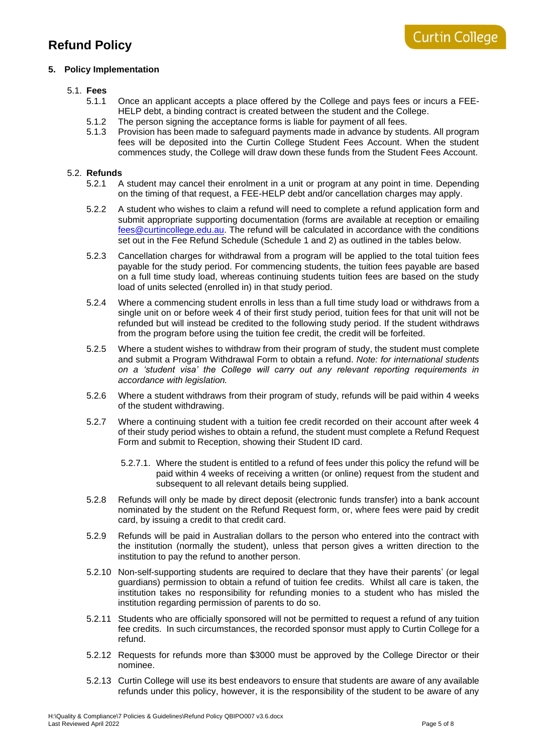### **5. Policy Implementation**

#### 5.1. **Fees**

- 5.1.1 Once an applicant accepts a place offered by the College and pays fees or incurs a FEE-HELP debt, a binding contract is created between the student and the College.
- 5.1.2 The person signing the acceptance forms is liable for payment of all fees.<br>5.1.3 Provision has been made to safeguard payments made in advance by student
- Provision has been made to safeguard payments made in advance by students. All program fees will be deposited into the Curtin College Student Fees Account. When the student commences study, the College will draw down these funds from the Student Fees Account.

#### 5.2. **Refunds**

- 5.2.1 A student may cancel their enrolment in a unit or program at any point in time. Depending on the timing of that request, a FEE-HELP debt and/or cancellation charges may apply.
- 5.2.2 A student who wishes to claim a refund will need to complete a refund application form and submit appropriate supporting documentation (forms are available at reception or emailing [fees@curtincollege.edu.au.](mailto:ccfees@curtincollege.edu.au) The refund will be calculated in accordance with the conditions set out in the Fee Refund Schedule (Schedule 1 and 2) as outlined in the tables below.
- 5.2.3 Cancellation charges for withdrawal from a program will be applied to the total tuition fees payable for the study period. For commencing students, the tuition fees payable are based on a full time study load, whereas continuing students tuition fees are based on the study load of units selected (enrolled in) in that study period.
- 5.2.4 Where a commencing student enrolls in less than a full time study load or withdraws from a single unit on or before week 4 of their first study period, tuition fees for that unit will not be refunded but will instead be credited to the following study period. If the student withdraws from the program before using the tuition fee credit, the credit will be forfeited.
- 5.2.5 Where a student wishes to withdraw from their program of study, the student must complete and submit a Program Withdrawal Form to obtain a refund. *Note: for international students on a 'student visa' the College will carry out any relevant reporting requirements in accordance with legislation.*
- 5.2.6 Where a student withdraws from their program of study, refunds will be paid within 4 weeks of the student withdrawing.
- 5.2.7 Where a continuing student with a tuition fee credit recorded on their account after week 4 of their study period wishes to obtain a refund, the student must complete a Refund Request Form and submit to Reception, showing their Student ID card.
	- 5.2.7.1. Where the student is entitled to a refund of fees under this policy the refund will be paid within 4 weeks of receiving a written (or online) request from the student and subsequent to all relevant details being supplied.
- 5.2.8 Refunds will only be made by direct deposit (electronic funds transfer) into a bank account nominated by the student on the Refund Request form, or, where fees were paid by credit card, by issuing a credit to that credit card.
- 5.2.9 Refunds will be paid in Australian dollars to the person who entered into the contract with the institution (normally the student), unless that person gives a written direction to the institution to pay the refund to another person.
- 5.2.10 Non-self-supporting students are required to declare that they have their parents' (or legal guardians) permission to obtain a refund of tuition fee credits. Whilst all care is taken, the institution takes no responsibility for refunding monies to a student who has misled the institution regarding permission of parents to do so.
- 5.2.11 Students who are officially sponsored will not be permitted to request a refund of any tuition fee credits. In such circumstances, the recorded sponsor must apply to Curtin College for a refund.
- 5.2.12 Requests for refunds more than \$3000 must be approved by the College Director or their nominee.
- 5.2.13 Curtin College will use its best endeavors to ensure that students are aware of any available refunds under this policy, however, it is the responsibility of the student to be aware of any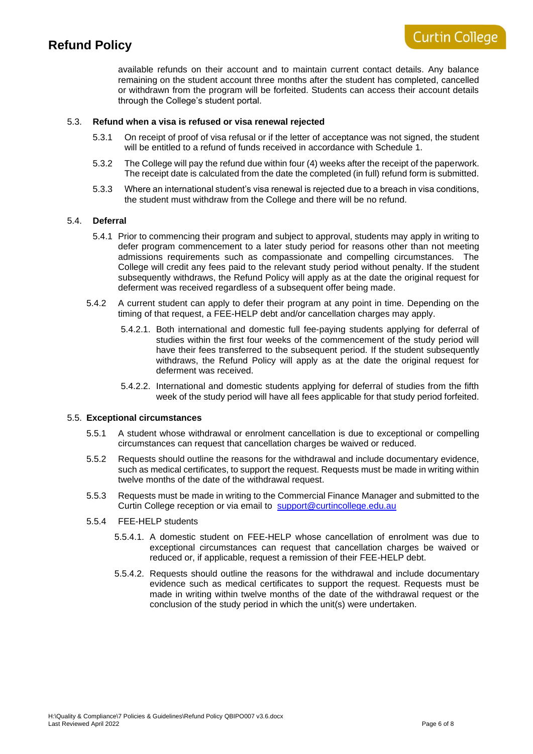#### 5.3. **Refund when a visa is refused or visa renewal rejected**

- 5.3.1 On receipt of proof of visa refusal or if the letter of acceptance was not signed, the student will be entitled to a refund of funds received in accordance with Schedule 1.
- 5.3.2 The College will pay the refund due within four (4) weeks after the receipt of the paperwork. The receipt date is calculated from the date the completed (in full) refund form is submitted.
- 5.3.3 Where an international student's visa renewal is rejected due to a breach in visa conditions, the student must withdraw from the College and there will be no refund.

#### 5.4. **Deferral**

- 5.4.1 Prior to commencing their program and subject to approval, students may apply in writing to defer program commencement to a later study period for reasons other than not meeting admissions requirements such as compassionate and compelling circumstances. The College will credit any fees paid to the relevant study period without penalty. If the student subsequently withdraws, the Refund Policy will apply as at the date the original request for deferment was received regardless of a subsequent offer being made.
- 5.4.2 A current student can apply to defer their program at any point in time. Depending on the timing of that request, a FEE-HELP debt and/or cancellation charges may apply.
	- 5.4.2.1. Both international and domestic full fee-paying students applying for deferral of studies within the first four weeks of the commencement of the study period will have their fees transferred to the subsequent period. If the student subsequently withdraws, the Refund Policy will apply as at the date the original request for deferment was received.
	- 5.4.2.2. International and domestic students applying for deferral of studies from the fifth week of the study period will have all fees applicable for that study period forfeited.

#### 5.5. **Exceptional circumstances**

- 5.5.1 A student whose withdrawal or enrolment cancellation is due to exceptional or compelling circumstances can request that cancellation charges be waived or reduced.
- 5.5.2 Requests should outline the reasons for the withdrawal and include documentary evidence, such as medical certificates, to support the request. Requests must be made in writing within twelve months of the date of the withdrawal request.
- 5.5.3 Requests must be made in writing to the Commercial Finance Manager and submitted to the Curtin College reception or via email to [support@curtincollege.edu.au](mailto:support@curtincollege.edu.au)
- 5.5.4 FEE-HELP students
	- 5.5.4.1. A domestic student on FEE-HELP whose cancellation of enrolment was due to exceptional circumstances can request that cancellation charges be waived or reduced or, if applicable, request a remission of their FEE-HELP debt.
	- 5.5.4.2. Requests should outline the reasons for the withdrawal and include documentary evidence such as medical certificates to support the request. Requests must be made in writing within twelve months of the date of the withdrawal request or the conclusion of the study period in which the unit(s) were undertaken.

**Curtin College**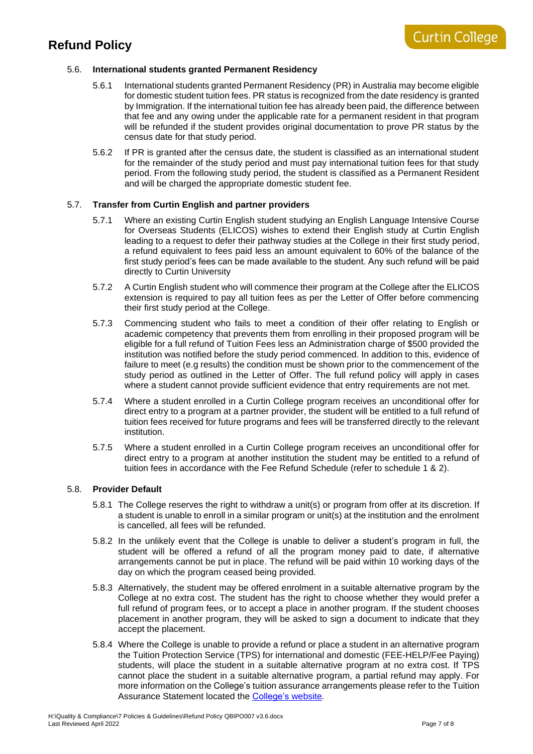#### 5.6. **International students granted Permanent Residency**

- 5.6.1 International students granted Permanent Residency (PR) in Australia may become eligible for domestic student tuition fees. PR status is recognized from the date residency is granted by Immigration. If the international tuition fee has already been paid, the difference between that fee and any owing under the applicable rate for a permanent resident in that program will be refunded if the student provides original documentation to prove PR status by the census date for that study period.
- 5.6.2 If PR is granted after the census date, the student is classified as an international student for the remainder of the study period and must pay international tuition fees for that study period. From the following study period, the student is classified as a Permanent Resident and will be charged the appropriate domestic student fee.

#### 5.7. **Transfer from Curtin English and partner providers**

- 5.7.1 Where an existing Curtin English student studying an English Language Intensive Course for Overseas Students (ELICOS) wishes to extend their English study at Curtin English leading to a request to defer their pathway studies at the College in their first study period, a refund equivalent to fees paid less an amount equivalent to 60% of the balance of the first study period's fees can be made available to the student. Any such refund will be paid directly to Curtin University
- 5.7.2 A Curtin English student who will commence their program at the College after the ELICOS extension is required to pay all tuition fees as per the Letter of Offer before commencing their first study period at the College.
- 5.7.3 Commencing student who fails to meet a condition of their offer relating to English or academic competency that prevents them from enrolling in their proposed program will be eligible for a full refund of Tuition Fees less an Administration charge of \$500 provided the institution was notified before the study period commenced. In addition to this, evidence of failure to meet (e.g results) the condition must be shown prior to the commencement of the study period as outlined in the Letter of Offer. The full refund policy will apply in cases where a student cannot provide sufficient evidence that entry requirements are not met.
- 5.7.4 Where a student enrolled in a Curtin College program receives an unconditional offer for direct entry to a program at a partner provider, the student will be entitled to a full refund of tuition fees received for future programs and fees will be transferred directly to the relevant institution.
- 5.7.5 Where a student enrolled in a Curtin College program receives an unconditional offer for direct entry to a program at another institution the student may be entitled to a refund of tuition fees in accordance with the Fee Refund Schedule (refer to schedule 1 & 2).

#### 5.8. **Provider Default**

- 5.8.1 The College reserves the right to withdraw a unit(s) or program from offer at its discretion. If a student is unable to enroll in a similar program or unit(s) at the institution and the enrolment is cancelled, all fees will be refunded.
- 5.8.2 In the unlikely event that the College is unable to deliver a student's program in full, the student will be offered a refund of all the program money paid to date, if alternative arrangements cannot be put in place. The refund will be paid within 10 working days of the day on which the program ceased being provided.
- 5.8.3 Alternatively, the student may be offered enrolment in a suitable alternative program by the College at no extra cost. The student has the right to choose whether they would prefer a full refund of program fees, or to accept a place in another program. If the student chooses placement in another program, they will be asked to sign a document to indicate that they accept the placement.
- 5.8.4 Where the College is unable to provide a refund or place a student in an alternative program the Tuition Protection Service (TPS) for international and domestic (FEE-HELP/Fee Paying) students, will place the student in a suitable alternative program at no extra cost. If TPS cannot place the student in a suitable alternative program, a partial refund may apply. For more information on the College's tuition assurance arrangements please refer to the Tuition Assurance Statement located the [College's website](https://www.curtincollege.edu.au/current-students/essential-information/policies-procedures-forms)*.*